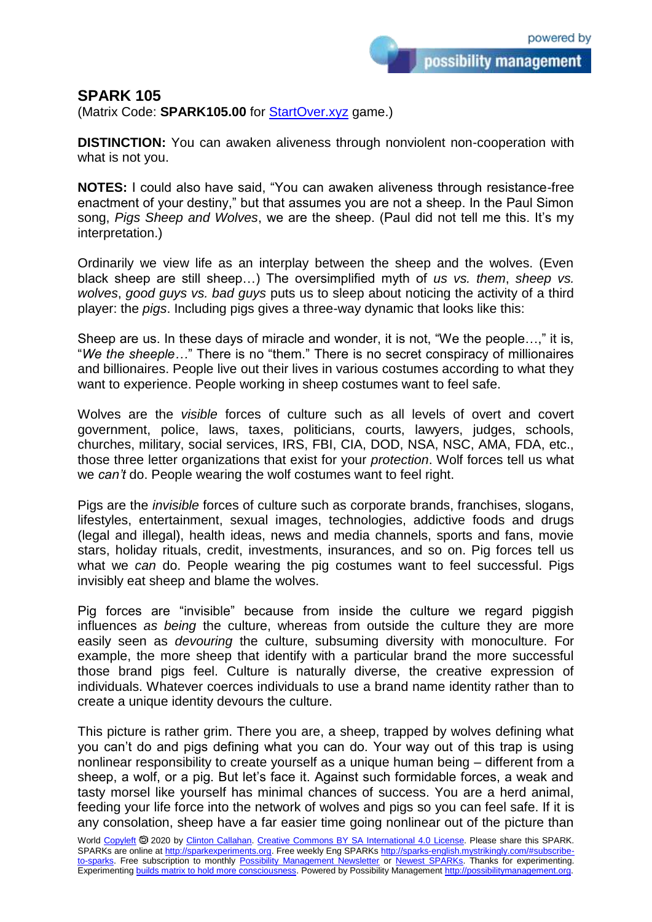possibility management

## **SPARK 105**

(Matrix Code: **SPARK105.00** for **StartOver.xyz** game.)

**DISTINCTION:** You can awaken aliveness through nonviolent non-cooperation with what is not you.

**NOTES:** I could also have said, "You can awaken aliveness through resistance-free enactment of your destiny," but that assumes you are not a sheep. In the Paul Simon song, *Pigs Sheep and Wolves*, we are the sheep. (Paul did not tell me this. It's my interpretation.)

Ordinarily we view life as an interplay between the sheep and the wolves. (Even black sheep are still sheep…) The oversimplified myth of *us vs. them*, *sheep vs. wolves*, *good guys vs. bad guys* puts us to sleep about noticing the activity of a third player: the *pigs*. Including pigs gives a three-way dynamic that looks like this:

Sheep are us. In these days of miracle and wonder, it is not, "We the people…," it is, "*We the sheeple…*" There is no "them." There is no secret conspiracy of millionaires and billionaires. People live out their lives in various costumes according to what they want to experience. People working in sheep costumes want to feel safe.

Wolves are the *visible* forces of culture such as all levels of overt and covert government, police, laws, taxes, politicians, courts, lawyers, judges, schools, churches, military, social services, IRS, FBI, CIA, DOD, NSA, NSC, AMA, FDA, etc., those three letter organizations that exist for your *protection*. Wolf forces tell us what we *can't* do. People wearing the wolf costumes want to feel right.

Pigs are the *invisible* forces of culture such as corporate brands, franchises, slogans, lifestyles, entertainment, sexual images, technologies, addictive foods and drugs (legal and illegal), health ideas, news and media channels, sports and fans, movie stars, holiday rituals, credit, investments, insurances, and so on. Pig forces tell us what we *can* do. People wearing the pig costumes want to feel successful. Pigs invisibly eat sheep and blame the wolves.

Pig forces are "invisible" because from inside the culture we regard piggish influences *as being* the culture, whereas from outside the culture they are more easily seen as *devouring* the culture, subsuming diversity with monoculture. For example, the more sheep that identify with a particular brand the more successful those brand pigs feel. Culture is naturally diverse, the creative expression of individuals. Whatever coerces individuals to use a brand name identity rather than to create a unique identity devours the culture.

This picture is rather grim. There you are, a sheep, trapped by wolves defining what you can't do and pigs defining what you can do. Your way out of this trap is using nonlinear responsibility to create yourself as a unique human being – different from a sheep, a wolf, or a pig. But let's face it. Against such formidable forces, a weak and tasty morsel like yourself has minimal chances of success. You are a herd animal, feeding your life force into the network of wolves and pigs so you can feel safe. If it is any consolation, sheep have a far easier time going nonlinear out of the picture than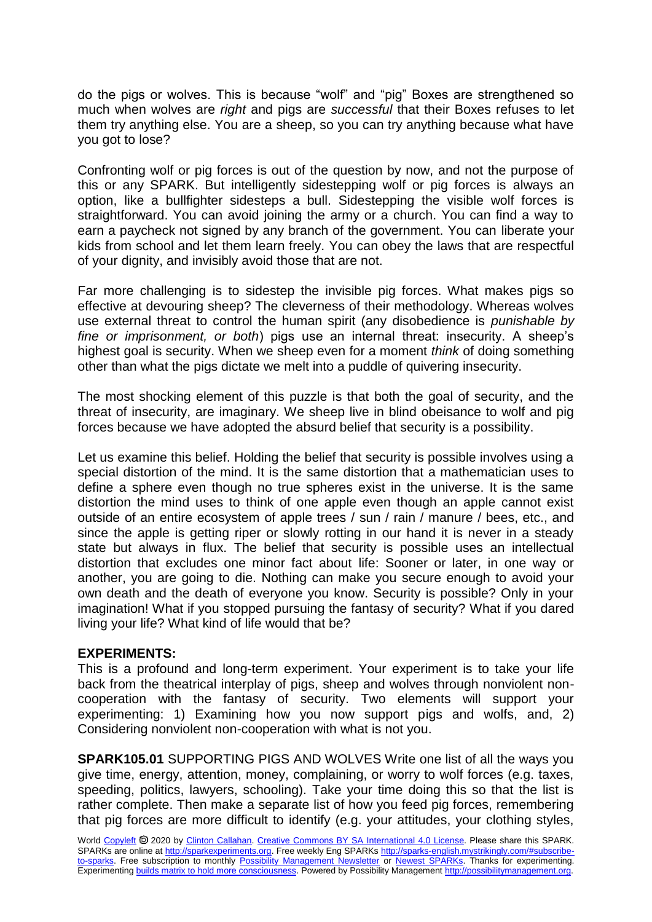do the pigs or wolves. This is because "wolf" and "pig" Boxes are strengthened so much when wolves are *right* and pigs are *successful* that their Boxes refuses to let them try anything else. You are a sheep, so you can try anything because what have you got to lose?

Confronting wolf or pig forces is out of the question by now, and not the purpose of this or any SPARK. But intelligently sidestepping wolf or pig forces is always an option, like a bullfighter sidesteps a bull. Sidestepping the visible wolf forces is straightforward. You can avoid joining the army or a church. You can find a way to earn a paycheck not signed by any branch of the government. You can liberate your kids from school and let them learn freely. You can obey the laws that are respectful of your dignity, and invisibly avoid those that are not.

Far more challenging is to sidestep the invisible pig forces. What makes pigs so effective at devouring sheep? The cleverness of their methodology. Whereas wolves use external threat to control the human spirit (any disobedience is *punishable by fine or imprisonment, or both*) pigs use an internal threat: insecurity. A sheep's highest goal is security. When we sheep even for a moment *think* of doing something other than what the pigs dictate we melt into a puddle of quivering insecurity.

The most shocking element of this puzzle is that both the goal of security, and the threat of insecurity, are imaginary. We sheep live in blind obeisance to wolf and pig forces because we have adopted the absurd belief that security is a possibility.

Let us examine this belief. Holding the belief that security is possible involves using a special distortion of the mind. It is the same distortion that a mathematician uses to define a sphere even though no true spheres exist in the universe. It is the same distortion the mind uses to think of one apple even though an apple cannot exist outside of an entire ecosystem of apple trees / sun / rain / manure / bees, etc., and since the apple is getting riper or slowly rotting in our hand it is never in a steady state but always in flux. The belief that security is possible uses an intellectual distortion that excludes one minor fact about life: Sooner or later, in one way or another, you are going to die. Nothing can make you secure enough to avoid your own death and the death of everyone you know. Security is possible? Only in your imagination! What if you stopped pursuing the fantasy of security? What if you dared living your life? What kind of life would that be?

## **EXPERIMENTS:**

This is a profound and long-term experiment. Your experiment is to take your life back from the theatrical interplay of pigs, sheep and wolves through nonviolent noncooperation with the fantasy of security. Two elements will support your experimenting: 1) Examining how you now support pigs and wolfs, and, 2) Considering nonviolent non-cooperation with what is not you.

**SPARK105.01** SUPPORTING PIGS AND WOLVES Write one list of all the ways you give time, energy, attention, money, complaining, or worry to wolf forces (e.g. taxes, speeding, politics, lawyers, schooling). Take your time doing this so that the list is rather complete. Then make a separate list of how you feed pig forces, remembering that pig forces are more difficult to identify (e.g. your attitudes, your clothing styles,

World [Copyleft](https://en.wikipedia.org/wiki/Copyleft) <sup>®</sup> 2020 by [Clinton Callahan.](http://clintoncallahan.mystrikingly.com/) [Creative Commons BY SA International 4.0 License.](https://creativecommons.org/licenses/by-sa/4.0/) Please share this SPARK. SPARKs are online at [http://sparkexperiments.org.](http://sparks-english.mystrikingly.com/) Free weekly Eng SPARKs [http://sparks-english.mystrikingly.com/#subscribe](http://sparks-english.mystrikingly.com/#subscribe-to-sparks)[to-sparks.](http://sparks-english.mystrikingly.com/#subscribe-to-sparks) Free subscription to monthly [Possibility Management Newsletter](https://possibilitymanagement.org/news/) or [Newest SPARKs.](https://www.clintoncallahan.org/newsletter-1) Thanks for experimenting. Experimentin[g builds matrix to hold more consciousness.](http://spaceport.mystrikingly.com/) Powered by Possibility Managemen[t http://possibilitymanagement.org.](http://possibilitymanagement.org/)